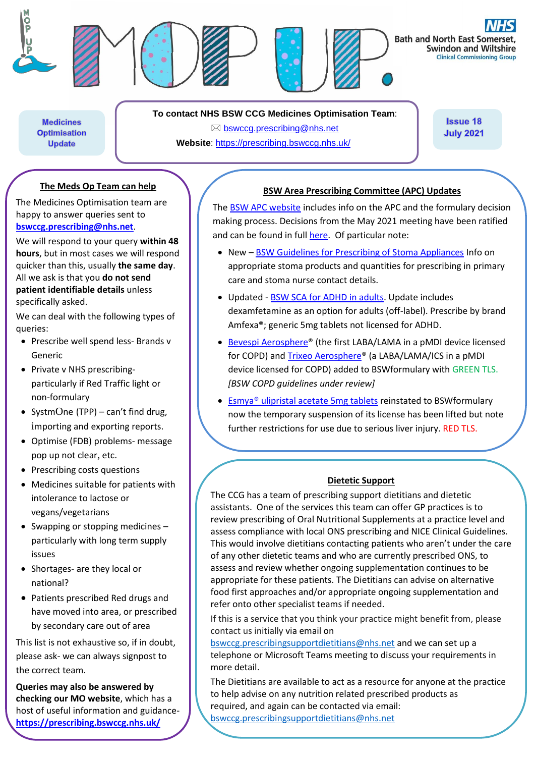

**To contact NHS BSW CCG Medicines Optimisation Team**:

**Medicines Optimisation Update** 

 $\boxtimes$  [bswccg.prescribing@nhs.net](mailto:bswccg.prescribing@nhs.net) **Website**: [https://prescribing.bswccg.nhs.uk/](https://prescribing.wiltshireccg.nhs.uk/)

**Issue 18 July 2021** 

### **The Meds Op Team can help**

The Medicines Optimisation team are happy to answer queries sent to **[bswccg.prescribing@nhs.net](mailto:bswccg.prescribing@nhs.net)**.

We will respond to your query **within 48 hours**, but in most cases we will respond quicker than this, usually **the same day**. All we ask is that you **do not send patient identifiable details** unless specifically asked.

We can deal with the following types of queries:

- Prescribe well spend less- Brands v Generic
- Private v NHS prescribingparticularly if Red Traffic light or non-formulary
- SystmOne (TPP) can't find drug, importing and exporting reports.
- Optimise (FDB) problems- message pop up not clear, etc.
- Prescribing costs questions
- Medicines suitable for patients with intolerance to lactose or vegans/vegetarians
- Swapping or stopping medicines particularly with long term supply issues
- Shortages- are they local or national?
- Patients prescribed Red drugs and have moved into area, or prescribed by secondary care out of area

This list is not exhaustive so, if in doubt, please ask- we can always signpost to the correct team.

**Queries may also be answered by checking our MO website**, which has a host of useful information and guidance**<https://prescribing.bswccg.nhs.uk/>**

#### **BSW Area Prescribing Committee (APC) Updates**

The [BSW APC website](https://prescribing.bswccg.nhs.uk/apc) includes info on the APC and the formulary decision making process. Decisions from the May 2021 meeting have been ratified and can be found in ful[l here.](https://prescribing.bswccg.nhs.uk/apc-recent-decisions) Of particular note:

- New [BSW Guidelines for Prescribing of Stoma Appliances](https://prescribing.bswccg.nhs.uk/?wpdmdl=8549) Info on appropriate stoma products and quantities for prescribing in primary care and stoma nurse contact details.
- Updated [BSW SCA for ADHD in adults.](https://prescribing.wiltshireccg.nhs.uk/?wpdmdl=6736) Update includes dexamfetamine as an option for adults (off-label). Prescribe by brand Amfexa®; generic 5mg tablets not licensed for ADHD.
- [Bevespi Aerosphere®](http://bswformulary.nhs.uk/chaptersSubDetails.asp?FormularySectionID=3&SubSectionRef=03.01.04&SubSectionID=A100&drugmatch=5716#5716) (the first LABA/LAMA in a pMDI device licensed for COPD) and [Trixeo Aerosphere®](http://bswformulary.nhs.uk/chaptersSubDetails.asp?FormularySectionID=3&SubSectionRef=03.02.03&SubSectionID=B100&drugmatch=5714#5714) (a LABA/LAMA/ICS in a pMDI device licensed for COPD) added to BSWformulary with GREEN TLS. *[BSW COPD guidelines under review]*
- [Esmya® ulipristal acetate 5mg tablets](http://bswformulary.nhs.uk/chaptersSubDetails.asp?FormularySectionID=6&SubSectionRef=06.04.01.02&SubSectionID=A100&drugmatch=5188#5188) reinstated to BSWformulary now the temporary suspension of its license has been lifted but note further restrictions for use due to serious liver injury. RED TLS.

#### **Dietetic Support**

The CCG has a team of prescribing support dietitians and dietetic assistants. One of the services this team can offer GP practices is to review prescribing of Oral Nutritional Supplements at a practice level and assess compliance with local ONS prescribing and NICE Clinical Guidelines. This would involve dietitians contacting patients who aren't under the care of any other dietetic teams and who are currently prescribed ONS, to assess and review whether ongoing supplementation continues to be appropriate for these patients. The Dietitians can advise on alternative food first approaches and/or appropriate ongoing supplementation and refer onto other specialist teams if needed.

If this is a service that you think your practice might benefit from, please contact us initially via email on

[bswccg.prescribingsupportdietitians@nhs.net](mailto:bswccg.prescribingsupportdietitians@nhs.net) and we can set up a telephone or Microsoft Teams meeting to discuss your requirements in more detail.

The Dietitians are available to act as a resource for anyone at the practice to help advise on any nutrition related prescribed products as required, and again can be contacted via email:

[bswccg.prescribingsupportdietitians@nhs.net](mailto:bswccg.prescribingsupportdietitians@nhs.net)

Ì